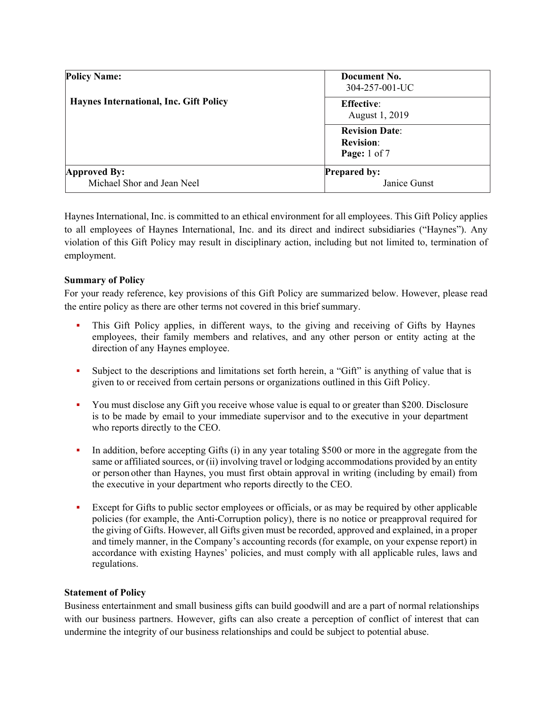| <b>Policy Name:</b><br>Haynes International, Inc. Gift Policy | Document No.<br>304-257-001-UC                                |
|---------------------------------------------------------------|---------------------------------------------------------------|
|                                                               | <b>Effective:</b><br>August 1, 2019                           |
|                                                               | <b>Revision Date:</b><br><b>Revision:</b><br>Page: $1$ of $7$ |
| Approved By:<br>Michael Shor and Jean Neel                    | <b>Prepared by:</b><br>Janice Gunst                           |

Haynes International, Inc. is committed to an ethical environment for all employees. This Gift Policy applies to all employees of Haynes International, Inc. and its direct and indirect subsidiaries ("Haynes"). Any violation of this Gift Policy may result in disciplinary action, including but not limited to, termination of employment.

# **Summary of Policy**

For your ready reference, key provisions of this Gift Policy are summarized below. However, please read the entire policy as there are other terms not covered in this brief summary.

- This Gift Policy applies, in different ways, to the giving and receiving of Gifts by Haynes employees, their family members and relatives, and any other person or entity acting at the direction of any Haynes employee.
- Subject to the descriptions and limitations set forth herein, a "Gift" is anything of value that is given to or received from certain persons or organizations outlined in this Gift Policy.
- You must disclose any Gift you receive whose value is equal to or greater than \$200. Disclosure is to be made by email to your immediate supervisor and to the executive in your department who reports directly to the CEO.
- In addition, before accepting Gifts  $(i)$  in any year totaling \$500 or more in the aggregate from the same or affiliated sources, or (ii) involving travel or lodging accommodations provided by an entity or person other than Haynes, you must first obtain approval in writing (including by email) from the executive in your department who reports directly to the CEO.
- Except for Gifts to public sector employees or officials, or as may be required by other applicable policies (for example, the Anti-Corruption policy), there is no notice or preapproval required for the giving of Gifts. However, all Gifts given must be recorded, approved and explained, in a proper and timely manner, in the Company's accounting records (for example, on your expense report) in accordance with existing Haynes' policies, and must comply with all applicable rules, laws and regulations.

## **Statement of Policy**

Business entertainment and small business gifts can build goodwill and are a part of normal relationships with our business partners. However, gifts can also create a perception of conflict of interest that can undermine the integrity of our business relationships and could be subject to potential abuse.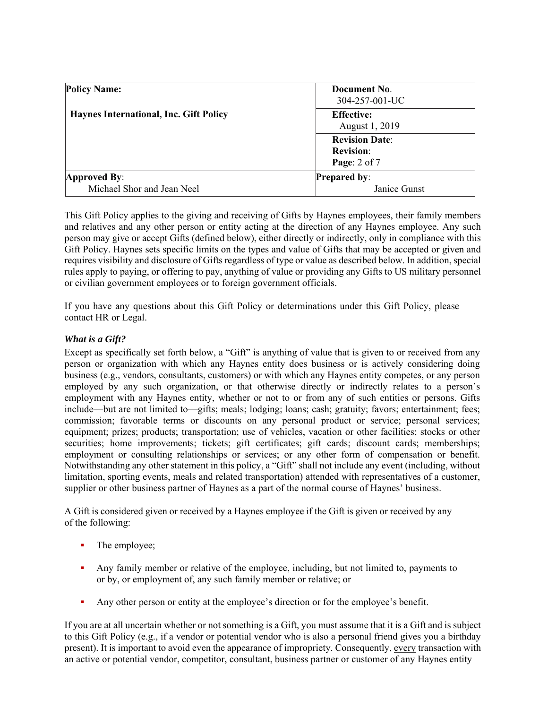| <b>Policy Name:</b>                           | Document No.<br>304-257-001-UC                                |
|-----------------------------------------------|---------------------------------------------------------------|
| <b>Haynes International, Inc. Gift Policy</b> | <b>Effective:</b><br>August 1, 2019                           |
|                                               | <b>Revision Date:</b><br><b>Revision:</b><br>Page: $2$ of $7$ |
| Approved By:<br>Michael Shor and Jean Neel    | <b>Prepared by:</b><br>Janice Gunst                           |

This Gift Policy applies to the giving and receiving of Gifts by Haynes employees, their family members and relatives and any other person or entity acting at the direction of any Haynes employee. Any such person may give or accept Gifts (defined below), either directly or indirectly, only in compliance with this Gift Policy. Haynes sets specific limits on the types and value of Gifts that may be accepted or given and requires visibility and disclosure of Gifts regardless of type or value as described below. In addition, special rules apply to paying, or offering to pay, anything of value or providing any Gifts to US military personnel or civilian government employees or to foreign government officials.

If you have any questions about this Gift Policy or determinations under this Gift Policy, please contact HR or Legal.

## *What is a Gift?*

Except as specifically set forth below, a "Gift" is anything of value that is given to or received from any person or organization with which any Haynes entity does business or is actively considering doing business (e.g., vendors, consultants, customers) or with which any Haynes entity competes, or any person employed by any such organization, or that otherwise directly or indirectly relates to a person's employment with any Haynes entity, whether or not to or from any of such entities or persons. Gifts include—but are not limited to—gifts; meals; lodging; loans; cash; gratuity; favors; entertainment; fees; commission; favorable terms or discounts on any personal product or service; personal services; equipment; prizes; products; transportation; use of vehicles, vacation or other facilities; stocks or other securities; home improvements; tickets; gift certificates; gift cards; discount cards; memberships; employment or consulting relationships or services; or any other form of compensation or benefit. Notwithstanding any other statement in this policy, a "Gift" shall not include any event (including, without limitation, sporting events, meals and related transportation) attended with representatives of a customer, supplier or other business partner of Haynes as a part of the normal course of Haynes' business.

A Gift is considered given or received by a Haynes employee if the Gift is given or received by any of the following:

- The employee;
- Any family member or relative of the employee, including, but not limited to, payments to or by, or employment of, any such family member or relative; or
- Any other person or entity at the employee's direction or for the employee's benefit.

If you are at all uncertain whether or not something is a Gift, you must assume that it is a Gift and is subject to this Gift Policy (e.g., if a vendor or potential vendor who is also a personal friend gives you a birthday present). It is important to avoid even the appearance of impropriety. Consequently, every transaction with an active or potential vendor, competitor, consultant, business partner or customer of any Haynes entity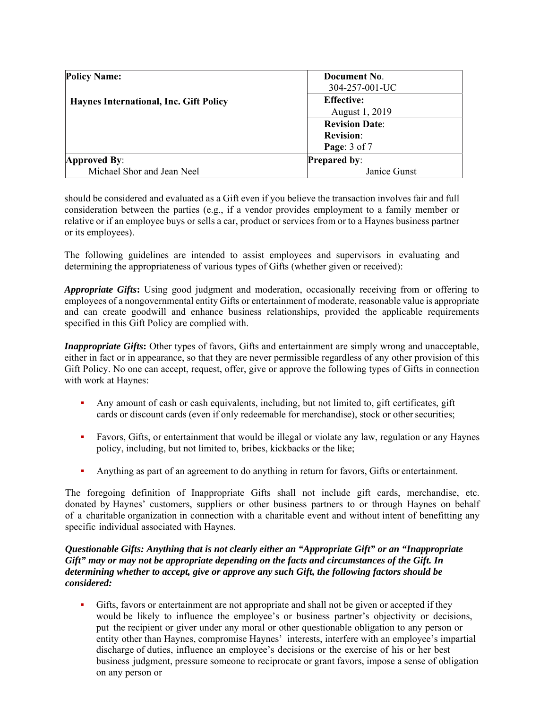| <b>Policy Name:</b><br>Haynes International, Inc. Gift Policy | Document No.                        |
|---------------------------------------------------------------|-------------------------------------|
|                                                               | 304-257-001-UC<br><b>Effective:</b> |
|                                                               |                                     |
|                                                               | <b>Revision Date:</b>               |
|                                                               | <b>Revision:</b>                    |
|                                                               | Page: 3 of 7                        |
|                                                               | Approved By:                        |
| Michael Shor and Jean Neel                                    | Janice Gunst                        |

should be considered and evaluated as a Gift even if you believe the transaction involves fair and full consideration between the parties (e.g., if a vendor provides employment to a family member or relative or if an employee buys or sells a car, product or services from or to a Haynes business partner or its employees).

The following guidelines are intended to assist employees and supervisors in evaluating and determining the appropriateness of various types of Gifts (whether given or received):

*Appropriate Gifts***:** Using good judgment and moderation, occasionally receiving from or offering to employees of a nongovernmental entity Gifts or entertainment of moderate, reasonable value is appropriate and can create goodwill and enhance business relationships, provided the applicable requirements specified in this Gift Policy are complied with.

*Inappropriate Gifts*: Other types of favors, Gifts and entertainment are simply wrong and unacceptable, either in fact or in appearance, so that they are never permissible regardless of any other provision of this Gift Policy. No one can accept, request, offer, give or approve the following types of Gifts in connection with work at Haynes:

- Any amount of cash or cash equivalents, including, but not limited to, gift certificates, gift cards or discount cards (even if only redeemable for merchandise), stock or other securities;
- Favors, Gifts, or entertainment that would be illegal or violate any law, regulation or any Haynes policy, including, but not limited to, bribes, kickbacks or the like;
- Anything as part of an agreement to do anything in return for favors, Gifts or entertainment.

The foregoing definition of Inappropriate Gifts shall not include gift cards, merchandise, etc. donated by Haynes' customers, suppliers or other business partners to or through Haynes on behalf of a charitable organization in connection with a charitable event and without intent of benefitting any specific individual associated with Haynes.

## *Questionable Gifts: Anything that is not clearly either an "Appropriate Gift" or an "Inappropriate Gift" may or may not be appropriate depending on the facts and circumstances of the Gift. In determining whether to accept, give or approve any such Gift, the following factors should be considered:*

 Gifts, favors or entertainment are not appropriate and shall not be given or accepted if they would be likely to influence the employee's or business partner's objectivity or decisions, put the recipient or giver under any moral or other questionable obligation to any person or entity other than Haynes, compromise Haynes' interests, interfere with an employee's impartial discharge of duties, influence an employee's decisions or the exercise of his or her best business judgment, pressure someone to reciprocate or grant favors, impose a sense of obligation on any person or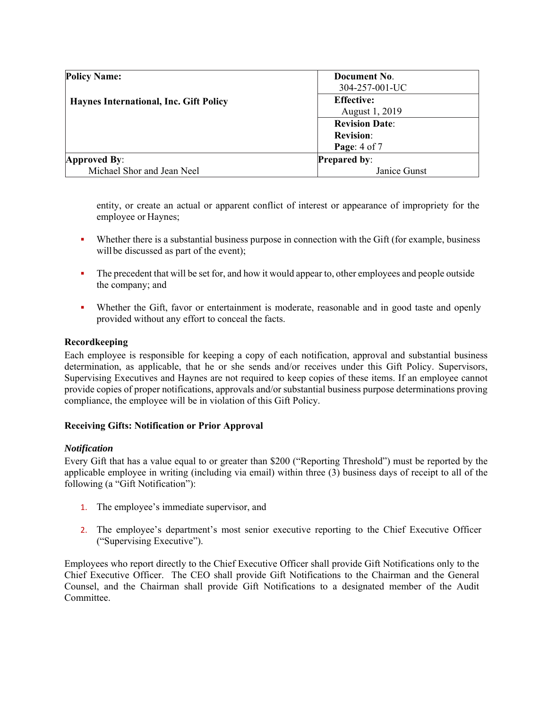| <b>Policy Name:</b><br><b>Haynes International, Inc. Gift Policy</b> | Document No.          |
|----------------------------------------------------------------------|-----------------------|
|                                                                      | 304-257-001-UC        |
|                                                                      | <b>Effective:</b>     |
|                                                                      | August 1, 2019        |
|                                                                      | <b>Revision Date:</b> |
|                                                                      | <b>Revision:</b>      |
|                                                                      | Page: $4$ of $7$      |
| Approved By:                                                         | <b>Prepared by:</b>   |
| Michael Shor and Jean Neel                                           | Janice Gunst          |

entity, or create an actual or apparent conflict of interest or appearance of impropriety for the employee or Haynes;

- Whether there is a substantial business purpose in connection with the Gift (for example, business will be discussed as part of the event);
- The precedent that will be set for, and how it would appear to, other employees and people outside the company; and
- Whether the Gift, favor or entertainment is moderate, reasonable and in good taste and openly provided without any effort to conceal the facts.

## **Recordkeeping**

Each employee is responsible for keeping a copy of each notification, approval and substantial business determination, as applicable, that he or she sends and/or receives under this Gift Policy. Supervisors, Supervising Executives and Haynes are not required to keep copies of these items. If an employee cannot provide copies of proper notifications, approvals and/or substantial business purpose determinations proving compliance, the employee will be in violation of this Gift Policy.

## **Receiving Gifts: Notification or Prior Approval**

## *Notification*

Every Gift that has a value equal to or greater than \$200 ("Reporting Threshold") must be reported by the applicable employee in writing (including via email) within three (3) business days of receipt to all of the following (a "Gift Notification"):

- 1. The employee's immediate supervisor, and
- 2. The employee's department's most senior executive reporting to the Chief Executive Officer ("Supervising Executive").

Employees who report directly to the Chief Executive Officer shall provide Gift Notifications only to the Chief Executive Officer. The CEO shall provide Gift Notifications to the Chairman and the General Counsel, and the Chairman shall provide Gift Notifications to a designated member of the Audit Committee.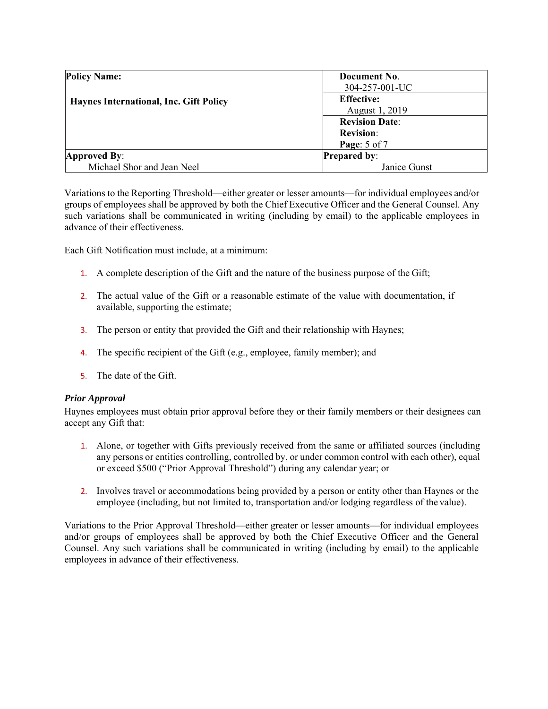| <b>Policy Name:</b>                           | Document No.          |
|-----------------------------------------------|-----------------------|
| <b>Haynes International, Inc. Gift Policy</b> | 304-257-001-UC        |
|                                               | <b>Effective:</b>     |
|                                               | August 1, 2019        |
|                                               | <b>Revision Date:</b> |
|                                               | <b>Revision:</b>      |
|                                               | Page: 5 of 7          |
| Approved By:                                  | <b>Prepared by:</b>   |
| Michael Shor and Jean Neel                    | Janice Gunst          |

Variations to the Reporting Threshold—either greater or lesser amounts—for individual employees and/or groups of employees shall be approved by both the Chief Executive Officer and the General Counsel. Any such variations shall be communicated in writing (including by email) to the applicable employees in advance of their effectiveness.

Each Gift Notification must include, at a minimum:

- 1. A complete description of the Gift and the nature of the business purpose of the Gift;
- 2. The actual value of the Gift or a reasonable estimate of the value with documentation, if available, supporting the estimate;
- 3. The person or entity that provided the Gift and their relationship with Haynes;
- 4. The specific recipient of the Gift (e.g., employee, family member); and
- 5. The date of the Gift.

### *Prior Approval*

Haynes employees must obtain prior approval before they or their family members or their designees can accept any Gift that:

- 1. Alone, or together with Gifts previously received from the same or affiliated sources (including any persons or entities controlling, controlled by, or under common control with each other), equal or exceed \$500 ("Prior Approval Threshold") during any calendar year; or
- 2. Involves travel or accommodations being provided by a person or entity other than Haynes or the employee (including, but not limited to, transportation and/or lodging regardless of the value).

Variations to the Prior Approval Threshold—either greater or lesser amounts—for individual employees and/or groups of employees shall be approved by both the Chief Executive Officer and the General Counsel. Any such variations shall be communicated in writing (including by email) to the applicable employees in advance of their effectiveness.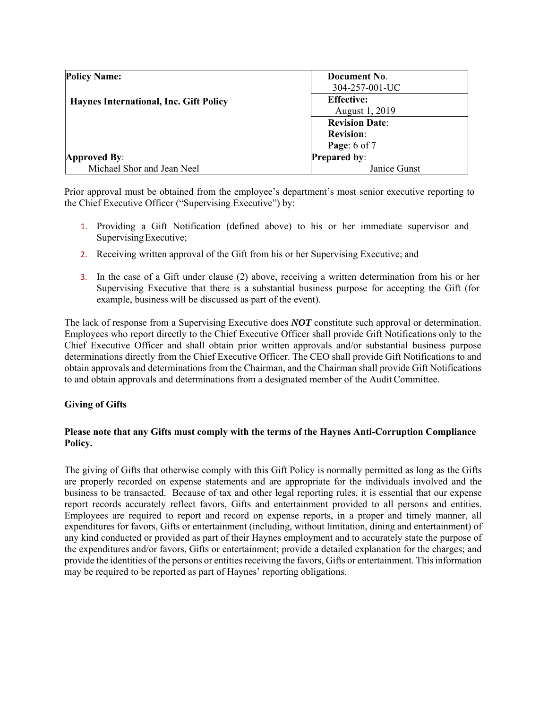| <b>Policy Name:</b>                           | Document No.          |
|-----------------------------------------------|-----------------------|
| <b>Haynes International, Inc. Gift Policy</b> | 304-257-001-UC        |
|                                               | <b>Effective:</b>     |
|                                               | August 1, 2019        |
|                                               | <b>Revision Date:</b> |
|                                               | <b>Revision:</b>      |
|                                               | Page: 6 of 7          |
| Approved By:                                  | <b>Prepared by:</b>   |
| Michael Shor and Jean Neel                    | Janice Gunst          |

Prior approval must be obtained from the employee's department's most senior executive reporting to the Chief Executive Officer ("Supervising Executive") by:

- 1. Providing a Gift Notification (defined above) to his or her immediate supervisor and Supervising Executive;
- 2. Receiving written approval of the Gift from his or her Supervising Executive; and
- 3. In the case of a Gift under clause (2) above, receiving a written determination from his or her Supervising Executive that there is a substantial business purpose for accepting the Gift (for example, business will be discussed as part of the event).

The lack of response from a Supervising Executive does *NOT* constitute such approval or determination. Employees who report directly to the Chief Executive Officer shall provide Gift Notifications only to the Chief Executive Officer and shall obtain prior written approvals and/or substantial business purpose determinations directly from the Chief Executive Officer. The CEO shall provide Gift Notifications to and obtain approvals and determinations from the Chairman, and the Chairman shall provide Gift Notifications to and obtain approvals and determinations from a designated member of the Audit Committee.

## **Giving of Gifts**

## **Please note that any Gifts must comply with the terms of the Haynes Anti-Corruption Compliance Policy.**

The giving of Gifts that otherwise comply with this Gift Policy is normally permitted as long as the Gifts are properly recorded on expense statements and are appropriate for the individuals involved and the business to be transacted. Because of tax and other legal reporting rules, it is essential that our expense report records accurately reflect favors, Gifts and entertainment provided to all persons and entities. Employees are required to report and record on expense reports, in a proper and timely manner, all expenditures for favors, Gifts or entertainment (including, without limitation, dining and entertainment) of any kind conducted or provided as part of their Haynes employment and to accurately state the purpose of the expenditures and/or favors, Gifts or entertainment; provide a detailed explanation for the charges; and provide the identities of the persons or entities receiving the favors, Gifts or entertainment. This information may be required to be reported as part of Haynes' reporting obligations.